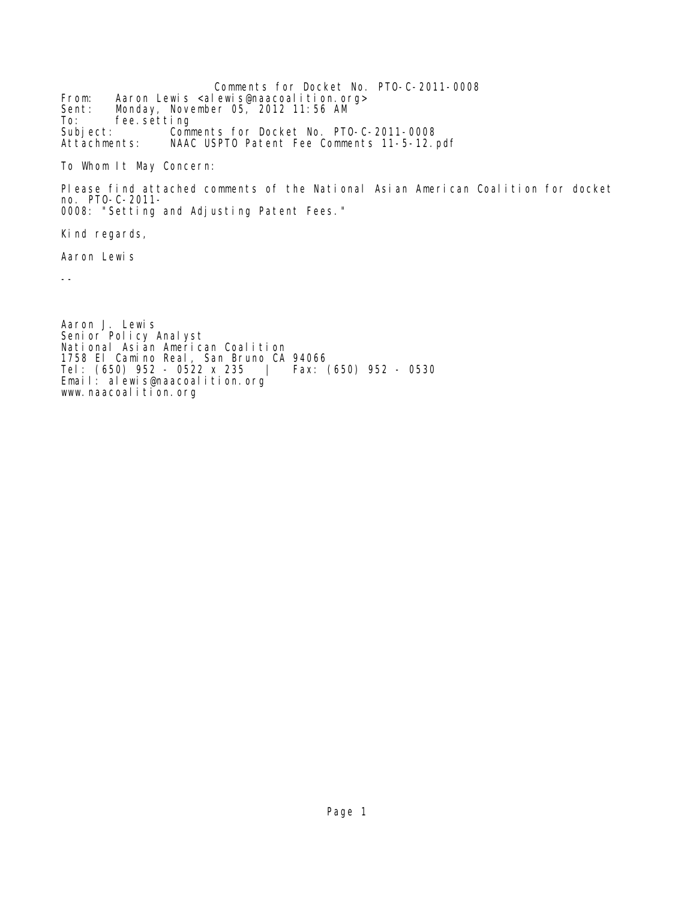Comments for Docket No. PTO-C-2011-0008 From: Aaron Lewis <alewis@naacoalition.org><br>Sent: Monday, November 05, 2012 11:56 AM Sent: Monday, November 05, 2012 11:56 AM To: fee.setting<br>Subject: Comm Subject: Comments for Docket No. PTO-C-2011-0008 NAAC USPTO Patent Fee Comments 11-5-12.pdf

To Whom It May Concern:

Please find attached comments of the National Asian American Coalition for docket no. PTO-C-2011- 0008: "Setting and Adjusting Patent Fees."

Kind regards,

Aaron Lewis

--

Aaron J. Lewis Senior Policy Analyst National Asian American Coalition 1758 El Camino Real, San Bruno CA 94066 Tel: (650) 952 - 0522 x 235 | Fax: (650) 952 - 0530 Email: alewis@naacoalition.org www.naacoalition.org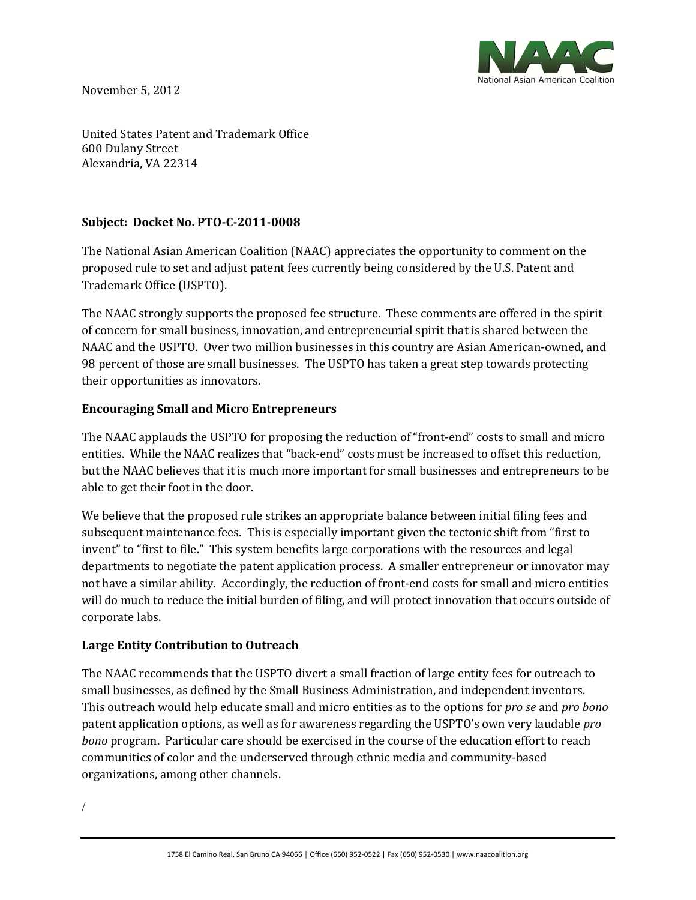

November 5, 2012

United States Patent and Trademark Office 600 Dulany Street Alexandria, VA 22314

## **Subject: Docket No. PTO-C-2011-0008**

The National Asian American Coalition (NAAC) appreciates the opportunity to comment on the proposed rule to set and adjust patent fees currently being considered by the U.S. Patent and Trademark Office (USPTO).

The NAAC strongly supports the proposed fee structure. These comments are offered in the spirit of concern for small business, innovation, and entrepreneurial spirit that is shared between the NAAC and the USPTO. Over two million businesses in this country are Asian American-owned, and 98 percent of those are small businesses. The USPTO has taken a great step towards protecting their opportunities as innovators.

## **Encouraging Small and Micro Entrepreneurs**

The NAAC applauds the USPTO for proposing the reduction of "front-end" costs to small and micro entities. While the NAAC realizes that "back-end" costs must be increased to offset this reduction, but the NAAC believes that it is much more important for small businesses and entrepreneurs to be able to get their foot in the door.

We believe that the proposed rule strikes an appropriate balance between initial filing fees and subsequent maintenance fees. This is especially important given the tectonic shift from "first to invent" to "first to file." This system benefits large corporations with the resources and legal departments to negotiate the patent application process. A smaller entrepreneur or innovator may not have a similar ability. Accordingly, the reduction of front-end costs for small and micro entities will do much to reduce the initial burden of filing, and will protect innovation that occurs outside of corporate labs.

## **Large Entity Contribution to Outreach**

The NAAC recommends that the USPTO divert a small fraction of large entity fees for outreach to small businesses, as defined by the Small Business Administration, and independent inventors. This outreach would help educate small and micro entities as to the options for *pro se* and *pro bono* patent application options, as well as for awareness regarding the USPTO's own very laudable *pro bono* program. Particular care should be exercised in the course of the education effort to reach communities of color and the underserved through ethnic media and community-based organizations, among other channels.

/